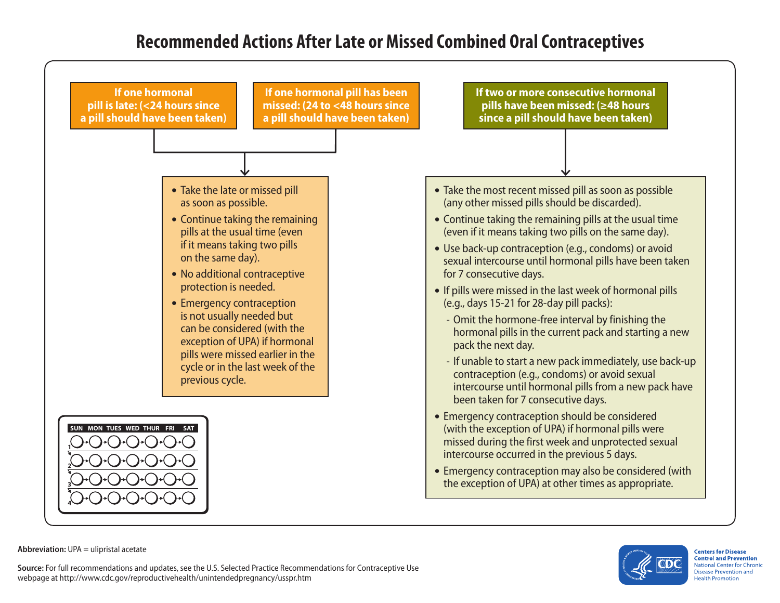## **Recommended Actions After Late or Missed Combined Oral Contraceptives**